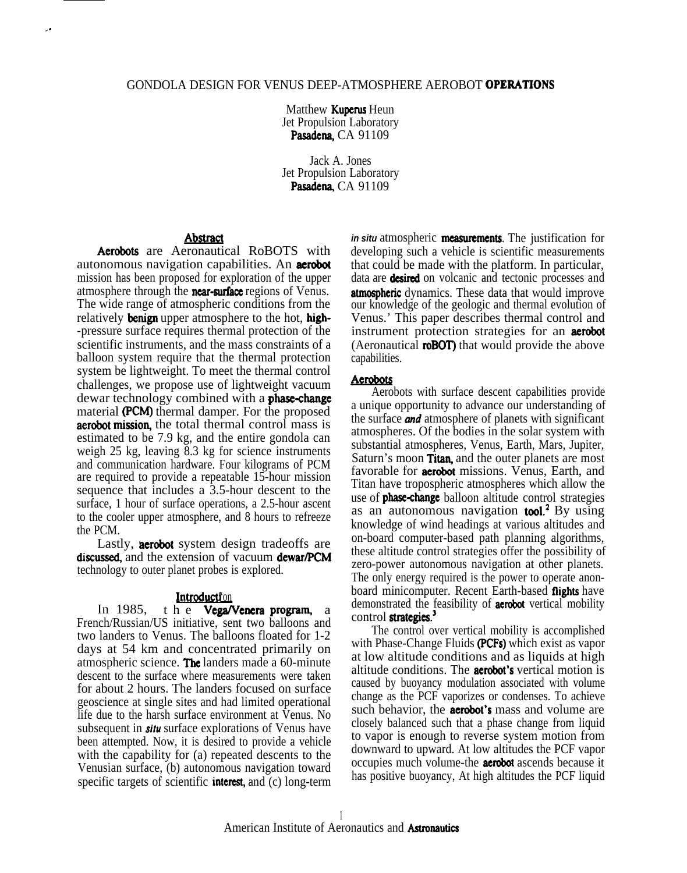### GONDOLA DESIGN FOR VENUS DEEP-ATMOSPHERE AEROBOT OPERATIONS

Matthew **Kuperus** Heun Jet Propulsion Laboratory Pasadena, CA 91109

Jack A. Jones Jet Propulsion Laboratory Pasadena, CA 91109

# **Abstract**

Aerobots are Aeronautical RoBOTS with autonomous navigation capabilities. An aerobot mission has been proposed for exploration of the upper atmosphere through the **near-surface** regions of Venus. The wide range of atmospheric conditions from the relatively **benign** upper atmosphere to the hot, **high-**-pressure surface requires thermal protection of the scientific instruments, and the mass constraints of a balloon system require that the thermal protection system be lightweight. To meet the thermal control challenges, we propose use of lightweight vacuum dewar technology combined with a **phase-change** material (PCM) thermal damper. For the proposed aerobot mission, the total thermal control mass is estimated to be 7.9 kg, and the entire gondola can weigh 25 kg, leaving 8.3 kg for science instruments and communication hardware. Four kilograms of PCM are required to provide a repeatable 15-hour mission sequence that includes a 3.5-hour descent to the surface, 1 hour of surface operations, a 2.5-hour ascent to the cooler upper atmosphere, and 8 hours to refreeze the PCM.

Lastly, **aerobot** system design tradeoffs are discussed, and the extension of vacuum dewar/PCM technology to outer planet probes is explored.

### Introducti'on

In 1985, the **Vega/Venera program**, a French/Russian/US initiative, sent two balloons and two landers to Venus. The balloons floated for 1-2 days at 54 km and concentrated primarily on atmospheric science. The landers made a 60-minute descent to the surface where measurements were taken for about 2 hours. The landers focused on surface geoscience at single sites and had limited operational life due to the harsh surface environment at Venus. No subsequent in *situ* surface explorations of Venus have been attempted. Now, it is desired to provide a vehicle with the capability for (a) repeated descents to the Venusian surface, (b) autonomous navigation toward specific targets of scientific **interest**, and (c) long-term *in situ atmospheric* measurements. The justification for developing such a vehicle is scientific measurements that could be made with the platform. In particular, data are **desired** on volcanic and tectonic processes and atmospheric dynamics. These data that would improve our knowledge of the geologic and thermal evolution of Venus.' This paper describes thermal control and instrument protection strategies for an **aerobot** (Aeronautical **roBOT)** that would provide the above capabilities.

### **Aerobots**

Aerobots with surface descent capabilities provide a unique opportunity to advance our understanding of the surface *und* atmosphere of planets with significant atmospheres. Of the bodies in the solar system with substantial atmospheres, Venus, Earth, Mars, Jupiter, Saturn's moon **Titan**, and the outer planets are most favorable for **aerobot** missions. Venus, Earth, and Titan have tropospheric atmospheres which allow the use of **phase-change** balloon altitude control strategies as an autonomous navigation tool.<sup>2</sup> By using knowledge of wind headings at various altitudes and on-board computer-based path planning algorithms, these altitude control strategies offer the possibility of zero-power autonomous navigation at other planets. The only energy required is the power to operate anonboard minicomputer. Recent Earth-based flights have demonstrated the feasibility of **aerobot** vertical mobility control strategies.<sup>3</sup>

The control over vertical mobility is accomplished with Phase-Change Fluids (PCFs) which exist as vapor at low altitude conditions and as liquids at high altitude conditions. The aerobot's vertical motion is caused by buoyancy modulation associated with volume change as the PCF vaporizes or condenses. To achieve such behavior, the **aerobot's** mass and volume are closely balanced such that a phase change from liquid to vapor is enough to reverse system motion from downward to upward. At low altitudes the PCF vapor occupies much volume-the aerobot ascends because it has positive buoyancy, At high altitudes the PCF liquid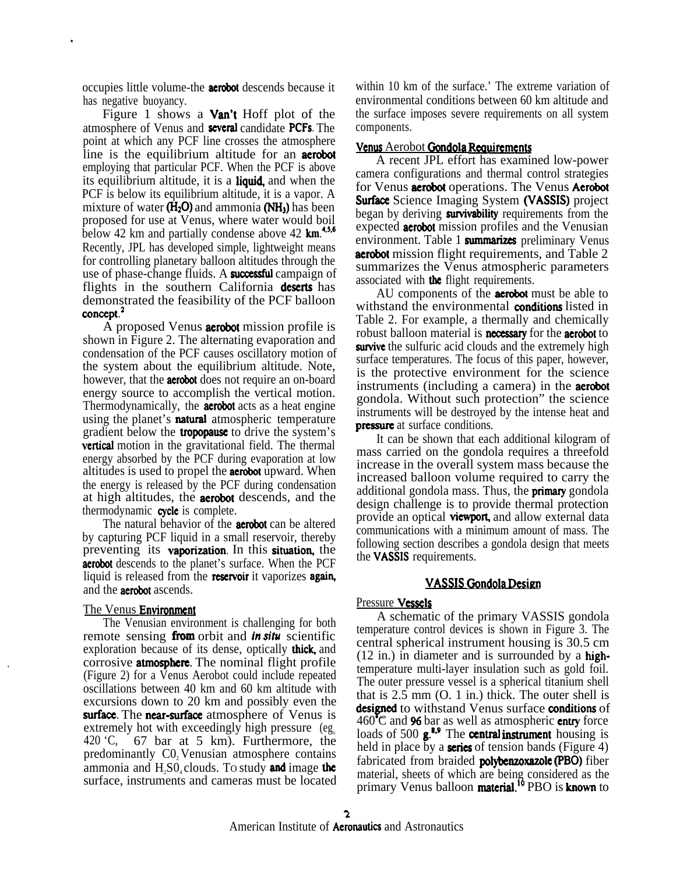occupies little volume-the aerobot descends because it has negative buoyancy.

.

Figure 1 shows a **Van't** Hoff plot of the atmosphere of Venus and **several** candidate **PCFs**. The point at which any PCF line crosses the atmosphere line is the equilibrium altitude for an **aerobot** employing that particular PCF. When the PCF is above its equilibrium altitude, it is a **liquid**, and when the PCF is below its equilibrium altitude, it is a vapor. A mixture of water  $(H_2O)$  and ammonia  $(NH_3)$  has been proposed for use at Venus, where water would boil below 42 km and partially condense above 42  $km$ <sup>4,5,6</sup> Recently, JPL has developed simple, lightweight means for controlling planetary balloon altitudes through the use of phase-change fluids. A **successful** campaign of flights in the southern California **deserts** has demonstrated the feasibility of the PCF balloon concept.<sup>2</sup>

A proposed Venus **aerobot** mission profile is shown in Figure 2. The alternating evaporation and condensation of the PCF causes oscillatory motion of the system about the equilibrium altitude. Note, however, that the **aerobot** does not require an on-board energy source to accomplish the vertical motion. Thermodynamically, the **aerobot** acts as a heat engine using the planet's **natural** atmospheric temperature gradient below the **tropopause** to drive the system's **vertical** motion in the gravitational field. The thermal energy absorbed by the PCF during evaporation at low altitudes is used to propel the aerobot upward. When the energy is released by the PCF during condensation at high altitudes, the aerobot descends, and the thermodynamic **cycle** is complete.

The natural behavior of the **aerobot** can be altered by capturing PCF liquid in a small reservoir, thereby preventing its **vaporization**. In this **situation**, the **aerobot** descends to the planet's surface. When the PCF liquid is released from the reservoir it vaporizes again, and the aerobot ascends.

### The Venus **Environment**

The Venusian environment is challenging for both remote sensing from orbit and *in situ* scientific exploration because of its dense, optically **thick**, and corrosive **atmosphere**. The nominal flight profile (Figure 2) for a Venus Aerobot could include repeated oscillations between 40 km and 60 km altitude with excursions down to 20 km and possibly even the surface. The near-surface atmosphere of Venus is extremely hot with exceedingly high pressure  $(eg_0)$ 420 'C, 67 bar at 5 km). Furthermore, the predominantly C0, Venusian atmosphere contains ammonia and  $H<sub>1</sub>SO<sub>4</sub>$  clouds. To study and image the surface, instruments and cameras must be located

within 10 km of the surface.' The extreme variation of environmental conditions between 60 km altitude and the surface imposes severe requirements on all system components.

#### Venus Aerobot Gondola Requirements

A recent JPL effort has examined low-power camera configurations and thermal control strategies for Venus aerobot operations. The Venus Aerobot **Surface** Science Imaging System (VASSIS) project began by deriving **survivability** requirements from the expected **aerobot** mission profiles and the Venusian environment. Table 1 summarizes preliminary Venus aerobot mission flight requirements, and Table 2 summarizes the Venus atmospheric parameters associated with the flight requirements.

AU components of the **aerobot** must be able to withstand the environmental **conditions** listed in Table 2. For example, a thermally and chemically robust balloon material is **necessary** for the **aerobot** to survive the sulfuric acid clouds and the extremely high surface temperatures. The focus of this paper, however, is the protective environment for the science instruments (including a camera) in the aerobot gondola. Without such protection" the science instruments will be destroyed by the intense heat and<br>**pressure** at surface conditions.<br>It can be shown that each additional kilogram of

It can be shown that each additional kilogram of mass carried on the gondola requires a threefold increase in the overall system mass because the increased balloon volume required to carry the additional gondola mass. Thus, the **primary** gondola design challenge is to provide thermal protection provide an optical **viewport**, and allow external data communications with a minimum amount of mass. The following section describes a gondola design that meets the VASSIS requirements.

### VASSIS Oondola Desien

#### Pressure Vessels

A schematic of the primary VASSIS gondola temperature control devices is shown in Figure 3. The central spherical instrument housing is 30.5 cm  $(12 \text{ in.})$  in diameter and is surrounded by a hightemperature multi-layer insulation such as gold foil. The outer pressure vessel is a spherical titanium shell that is 2.5 mm (O. 1 in.) thick. The outer shell is designed to withstand Venus surface conditions of  $460^{\circ}$ C and **96** bar as well as atmospheric **entry** force loads of 500  $g^{3,9}$  The central instrument housing is held in place by a **series** of tension bands (Figure 4) fabricated from braided polybenzoxazole (PBO) fiber material, sheets of which are being considered as the primary Venus balloon **material.**<sup>10</sup> PBO is **known** to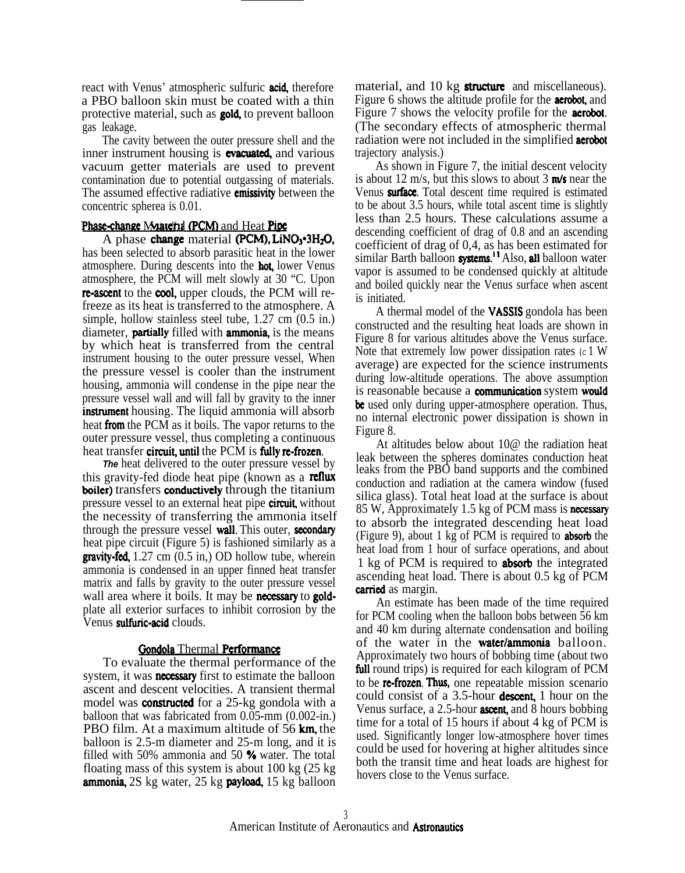react with Venus' atmospheric sulfuric **acid**, therefore a PBO balloon skin must be coated with a thin protective material, such as **gold**, to prevent balloon gas leakage.

The cavity between the outer pressure shell and the inner instrument housing is **evacuated**, and various vacuum getter materials are used to prevent contamination due to potential outgassing of materials. The assumed effective radiative **emissivity** between the concentric spherea is 0.01.

### Phase-change Materia (PCM) and Heat Pipe

A phase change material (PCM), LiNO<sub>3</sub> $-3H<sub>2</sub>O$ , has been selected to absorb parasitic heat in the lower atmosphere. During descents into the **hot**, lower Venus atmosphere, the PCM will melt slowly at 30 "C. Upon re-ascent to the cool, upper clouds, the PCM will refreeze as its heat is transferred to the atmosphere. A simple, hollow stainless steel tube, 1.27 cm (0.5 in.) diameter, **partially** filled with **ammonia**, is the means by which heat is transferred from the central instrument housing to the outer pressure vessel, When the pressure vessel is cooler than the instrument housing, ammonia will condense in the pipe near the pressure vessel wall and will fall by gravity to the inner **instrument** housing. The liquid ammonia will absorb heat ffom the PCM as it boils. The vapor returns to the outer pressure vessel, thus completing a continuous heat transfer circuit, until the PCM is fully re-frozen.

**The** heat delivered to the outer pressure vessel by this gravity-fed diode heat pipe (known as a **reflux boiler)** transfers **conductively** through the titanium pressure vessel to an external heat pipe **circuit**, without the necessity of transferring the ammonia itself through the pressure vessel wall. This outer, secondary heat pipe circuit (Figure 5) is fashioned similarly as a **gravity-fed,**  $1.27 \text{ cm } (0.5 \text{ in})$  OD hollow tube, wherein ammonia is condensed in an upper finned heat transfer matrix and falls by gravity to the outer pressure vessel wall area where it boils. It may be necessary to goldplate all exterior surfaces to inhibit corrosion by the Venus sulfuric-acid clouds.

## Gondola Thermal Performance

To evaluate the thermal performance of the system, it was **necessary** first to estimate the balloon ascent and descent velocities. A transient thermal model was **constructed** for a 25-kg gondola with a balloon that was fabricated from 0.05-mm  $(0.002 \text{-} \text{in.})$ <br>PBO film. At a maximum altitude of 56 **km**, the balloon is 2.5-m diameter and 25-m long, and it is filled with 50% ammonia and 50  $\%$  water. The total floating mass of this system is about 100 kg (25 kg **ammonia,** 2S kg water, 25 kg **payload**, 15 kg balloon

material, and 10 kg **structure** and miscellaneous). Figure 6 shows the altitude profile for the **aerobot**, and Figure 7 shows the velocity profile for the **aerobot**. (The secondary effects of atmospheric thermal radiation were not included in the simplified **aerobot** trajectory analysis.)

As shown in Figure 7, the initial descent velocity is about 12 m/s, but this slows to about 3  $\text{m/s}$  near the Venus **surface**. Total descent time required is estimated to be about 3.5 hours, while total ascent time is slightly less than 2.5 hours. These calculations assume a descending coefficient of drag of 0.8 and an ascending coefficient of drag of 0,4, as has been estimated for similar Barth balloon systems.<sup>11</sup> Also, all balloon water vapor is assumed to be condensed quickly at altitude and boiled quickly near the Venus surface when ascent is initiated.

A thermal model of the VASSIS gondola has been constructed and the resulting heat loads are shown in Figure 8 for various altitudes above the Venus surface. Note that extremely low power dissipation rates  $(c 1 W)$ average) are expected for the science instruments during low-altitude operations. The above assumption is reasonable because a communication system would be used only during upper-atmosphere operation. Thus, no internal electronic power dissipation is shown in Figure 8.

At altitudes below about 10@ the radiation heat leak between the spheres dominates conduction heat leaks from the PBO band supports and the combined conduction and radiation at the camera window (fused silica glass). Total heat load at the surface is about 85 W, Approximately 1.5 kg of PCM mass is necessary to absorb the integrated descending heat load (Figure 9), about 1 kg of PCM is required to **absorb** the heat load from 1 hour of surface operations, and about 1 kg of PCM is required to **absorb** the integrated ascending heat load. There is about 0.5 kg of PCM carried as margin.

An estimate has been made of the time required for PCM cooling when the balloon bobs between 56 km and 40 km during alternate condensation and boiling of the water in the **water/ammonia** balloon. Approximately two hours of bobbing time (about two full round trips) is required for each kilogram of PCM to be **re-frozen. Thus**, one repeatable mission scenario could consist of a 3.5-hour **descent**, 1 hour on the Venus surface, a 2.5-hour **ascent**, and 8 hours bobbing time for a total of 15 hours if about 4 kg of PCM is used. Significantly longer low-atmosphere hover times could be used for hovering at higher altitudes since both the transit time and heat loads are highest for hovers close to the Venus surface.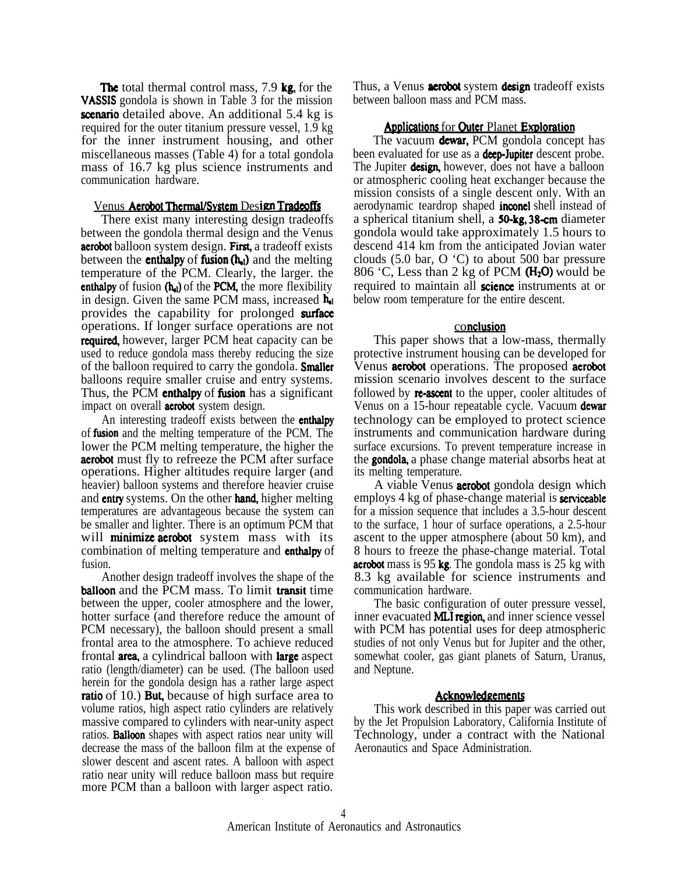The total thermal control mass, 7.9 kg, for the VASSIS gondola is shown in Table 3 for the mission scenario detailed above. An additional 5.4 kg is required for the outer titanium pressure vessel, 1.9 kg for the inner instrument housing, and other miscellaneous masses (Table 4) for a total gondola mass of 16.7 kg plus science instruments and communication hardware.

### Venus Aerobot Thermal/System Design Tradeoffs

There exist many interesting design tradeoffs between the gondola thermal design and the Venus **aerobot** balloon system design. First, a tradeoff exists between the **enthalpy** of **fusion**  $(h_{d})$  and the melting temperature of the PCM. Clearly, the larger. the enthalpy of fusion  $(h_{el})$  of the PCM, the more flexibility in design. Given the same PCM mass, increased  $h_{el}$ provides the capability for prolonged surface operations. If longer surface operations are not **required,** however, larger PCM heat capacity can be used to reduce gondola mass thereby reducing the size of the balloon required to carry the gondola. **Smaller** balloons require smaller cruise and entry systems. Thus, the PCM **enthalpy** of **fusion** has a significant impact on overall **aerobot** system design.

An interesting tradeoff exists between the **enthalpy** of **fusion** and the melting temperature of the PCM. The lower the PCM melting temperature, the higher the **aerobot** must fly to refreeze the PCM after surface operations. Higher altitudes require larger (and heavier) balloon systems and therefore heavier cruise and entry systems. On the other hand, higher melting temperatures are advantageous because the system can be smaller and lighter. There is an optimum PCM that will **minimize aerobot** system mass with its combination of melting temperature and enthalpy of fusion.

Another design tradeoff involves the shape of the **balloon** and the PCM mass. To limit **transit** time between the upper, cooler atmosphere and the lower, hotter surface (and therefore reduce the amount of PCM necessary), the balloon should present a small frontal area to the atmosphere. To achieve reduced frontal **area**, a cylindrical balloon with **large** aspect ratio (length/diameter) can be used. (The balloon used herein for the gondola design has a rather large aspect **ratio** of 10.) **But**, because of high surface area to volume ratios, high aspect ratio cylinders are relatively massive compared to cylinders with near-unity aspect ratios. Batloon shapes with aspect ratios near unity will decrease the mass of the balloon film at the expense of slower descent and ascent rates. A balloon with aspect ratio near unity will reduce balloon mass but require more PCM than a balloon with larger aspect ratio.

Thus, a Venus **aerobot** system **design** tradeoff exists between balloon mass and PCM mass.

### Applications for Outer Planet Exploration

The vacuum dewar, PCM gondola concept has been evaluated for use as a **deep-Jupiter** descent probe. The Jupiter **design**, however, does not have a balloon or atmospheric cooling heat exchanger because the mission consists of a single descent only. With an aerodynamic teardrop shaped **inconel** shell instead of a spherical titanium shell, a **50-kg, 38-cm** diameter gondola would take approximately 1.5 hours to descend 414 km from the anticipated Jovian water clouds (5.0 bar, O 'C) to about 500 bar pressure 806  $\degree$ C, Less than 2 kg of PCM (H<sub>2</sub>O) would be required to maintain all **science** instruments at or below room temperature for the entire descent.

### conclusion

This paper shows that a low-mass, thermally protective instrument housing can be developed for Venus **aerobot** operations. The proposed **aerobot** mission scenario involves descent to the surface followed by **re-ascent** to the upper, cooler altitudes of Venus on a 15-hour repeatable cycle. Vacuum dewar technology can be employed to protect science instruments and communication hardware during surface excursions. To prevent temperature increase in the **gondola**, a phase change material absorbs heat at its melting temperature.

A viable Venus **aerobot** gondola design which employs 4 kg of phase-change material is **serviceable** for a mission sequence that includes a 3.5-hour descent to the surface, 1 hour of surface operations, a 2.5-hour ascent to the upper atmosphere (about 50 km), and 8 hours to freeze the phase-change material. Total **aerobot** mass is 95 kg. The gondola mass is 25 kg with 8.3 kg available for science instruments and communication hardware.

The basic configuration of outer pressure vessel, inner evacuated **MLI region**, and inner science vessel with PCM has potential uses for deep atmospheric studies of not only Venus but for Jupiter and the other, somewhat cooler, gas giant planets of Saturn, Uranus, and Neptune.

## **Acknowledgements**

This work described in this paper was carried out by the Jet Propulsion Laboratory, California Institute of Technology, under a contract with the National Aeronautics and Space Administration.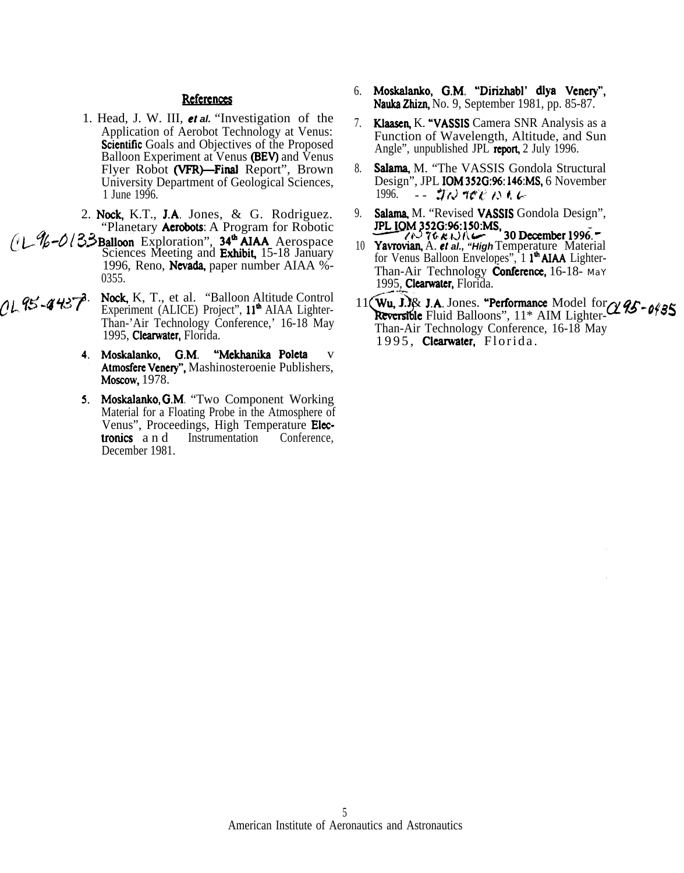## References

- 1. Head, J. W. III, et al. "Investigation of the Application of Aerobot Technology at Venus: **Scientific** Goals and Objectives of the Proposed Balloon Experiment at Venus (BEV) and Venus Flyer Robot (VFR)-Final Report", Brown University Department of Geological Sciences, 1 June 1996.
- 2. Nock, K.T., J.A. Jones, & G. Rodriguez. "Planetary **Aerobots**: A Program for Robotic
- $(1 \frac{N}{6} O/3$ Balloon Exploration", 34<sup>th</sup> AIAA Aerospace Sciences Meeting and Exhibit, 15-18 January 1996, Reno, Nevada, paper number AIAA %-0355.
- $1.95 4437$ Nock, K, T., et al. "Balloon Altitude Control" Experiment (ALICE) Project", 11<sup>th</sup> AIAA Lighter-Than-'Air Technology Conference,' 16-18 May 1995, Clearwater, Florida.
	- "Mekhanika Poleta 4. Moskalanko, G.M.  $\overline{\mathbf{V}}$ Atmosfere Venery", Mashinosteroenie Publishers, Moscow, 1978.
	- 5. Moskalanko, G.M. "Two Component Working Material for a Floating Probe in the Atmosphere of Venus", Proceedings, High Temperature Elec-Instrumentation tronics and Conference, December 1981.
- 6. Moskalanko, G.M. "Dirizhabl' dlya Venery", Nauka Zhizn, No. 9, September 1981, pp. 85-87.
- 7. Klaasen, K. "VASSIS Camera SNR Analysis as a Function of Wavelength, Altitude, and Sun Angle", unpublished JPL report, 2 July 1996.
- Salama, M. "The VASSIS Gondola Structural 8. Design", JPL **IOM 352G:96:146:MS**, 6 November 1996. ニー・ゴル かいと へんん
- 9. Salama, M. "Revised VASSIS Gondola Design", TPL IOM 352G:96:150:MS,<br>
Yavrovian, A. et al., "High Temperature Material"
- $10<sup>1</sup>$ for Venus Balloon Envelopes", 1<sup>th</sup> AIAA Lighter-Than-Air Technology **Conference**, 16-18-May 1995, Clearwater, Florida.
- 11 (Wu, J.)& J.A. Jones. "Performance Model for a 25-0435 Reversible Fluid Balloons", 11\* AIM Lighter-Than-Air Technology Conference, 16-18 May 1995, Clearwater, Florida.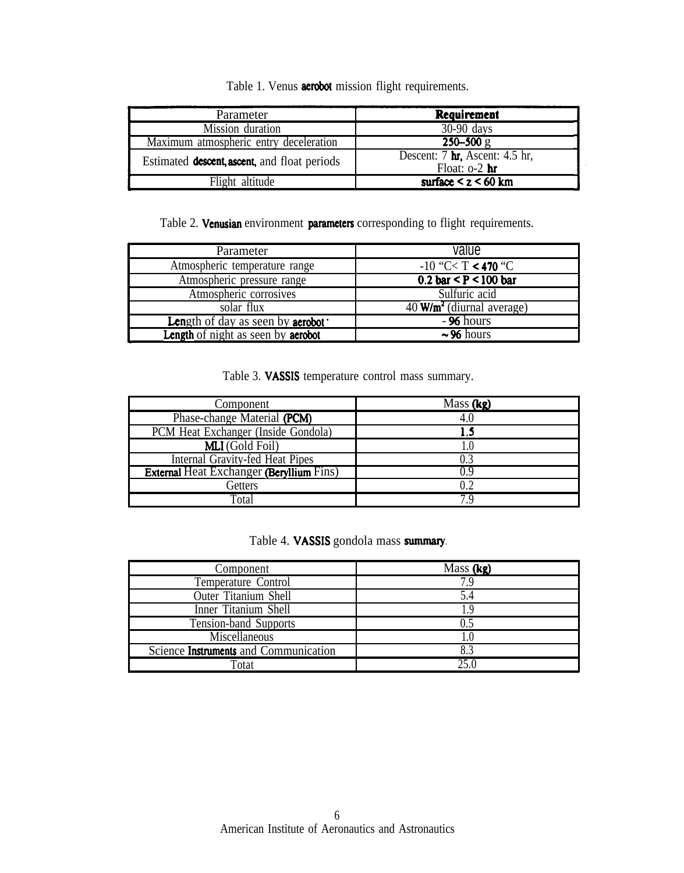Table 1. Venus **aerobot** mission flight requirements.

| Parameter                                            | Requirement                                                   |
|------------------------------------------------------|---------------------------------------------------------------|
| Mission duration                                     | $30-90$ days                                                  |
| Maximum atmospheric entry deceleration               | $250 - 500$ g                                                 |
| Estimated <b>descent</b> , ascent, and float periods | Descent: 7 $\mathbf{hr}$ , Ascent: 4.5 hr,<br>Float: $o-2$ hr |
| Flight altitude                                      | surface $\leq z \leq 60$ km                                   |

Table 2. Venusian environment parameters corresponding to flight requirements.

| Parameter                                        | value                                              |
|--------------------------------------------------|----------------------------------------------------|
| Atmospheric temperature range                    | $-10$ "C< T < 470 "C                               |
| Atmospheric pressure range                       | 0.2 bar < $P$ < 100 bar                            |
| Atmospheric corrosives                           | Sulfuric acid                                      |
| solar flux                                       | $\overline{40}$ W/m <sup>2</sup> (diurnal average) |
| <b>Length of day as seen by aerobot</b>          | $-96$ hours                                        |
| <b>Length</b> of night as seen by <b>aerobot</b> | $\sim$ 96 hours                                    |

Table 3. VASSIS temperature control mass summary.

| Component                                       | Mass $(kg)$ |
|-------------------------------------------------|-------------|
| Phase-change Material (PCM)                     | 4.0         |
| PCM Heat Exchanger (Inside Gondola)             | 1.5         |
| <b>MLI</b> (Gold Foil)                          |             |
| Internal Gravity-fed Heat Pipes                 | 0.3         |
| <b>External Heat Exchanger (Beryllium Fins)</b> |             |
| Getters                                         | 0.2         |
| Fotal                                           | 7 Q         |

Table 4. VASSIS gondola mass summary.

| Component                             | Mass (kg) |
|---------------------------------------|-----------|
| Temperature Control                   | 7.9       |
| <b>Outer Titanium Shell</b>           | 5.4       |
| Inner Titanium Shell                  | ΙY        |
| Tension-band Supports                 | 0.5       |
| Miscellaneous                         | 1.0       |
| Science Instruments and Communication | 8.3       |
| Totat                                 |           |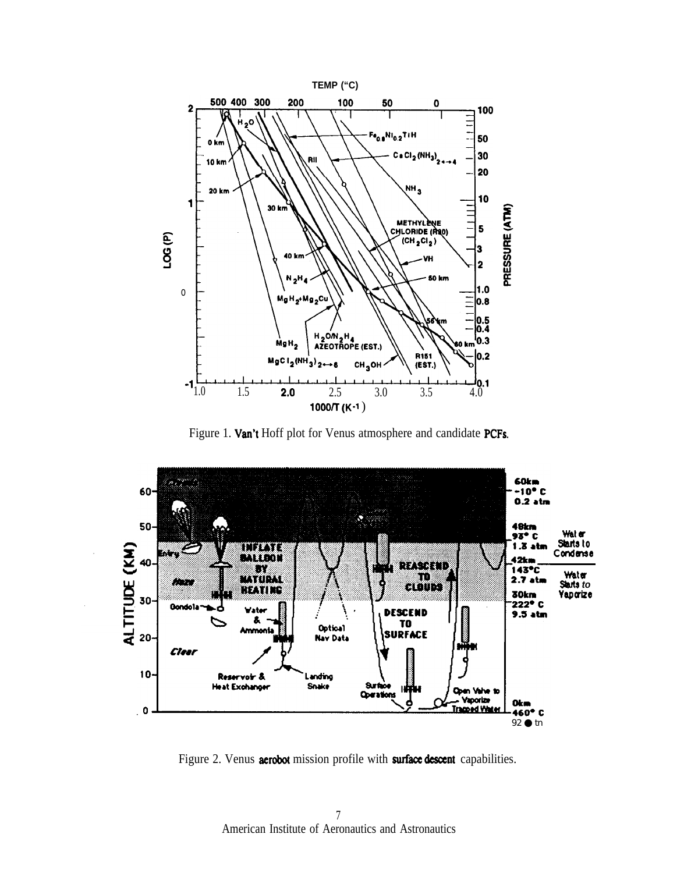

Figure 1. Van't Hoff plot for Venus atmosphere and candidate PCFs.



Figure 2. Venus aerobot mission profile with surface descent capabilities.

 $\overline{7}$ American Institute of Aeronautics and Astronautics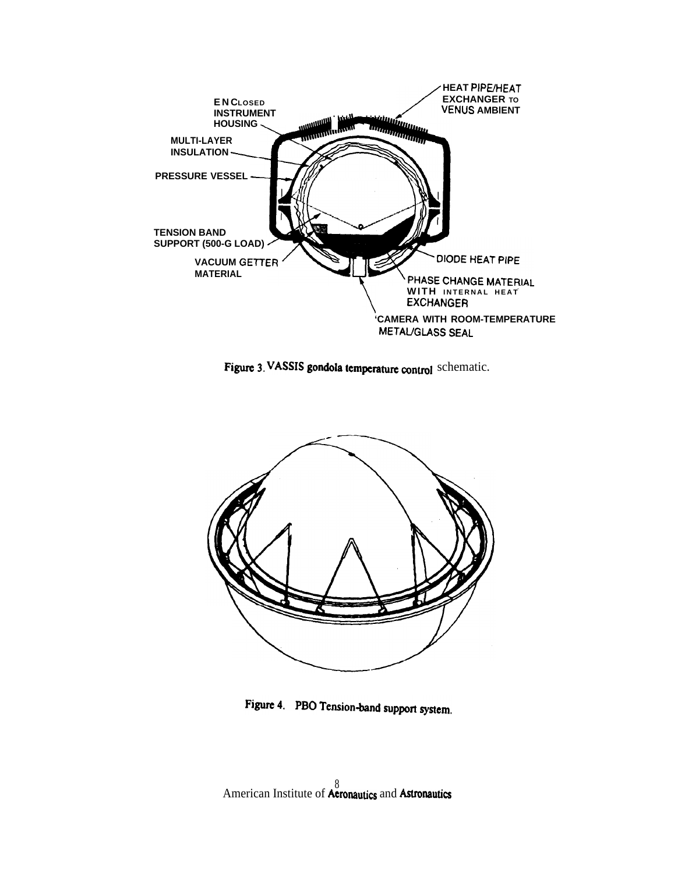

Figure 3. VASSIS gondola temperature control schematic.



Figure 4. PBO Tension-band support system.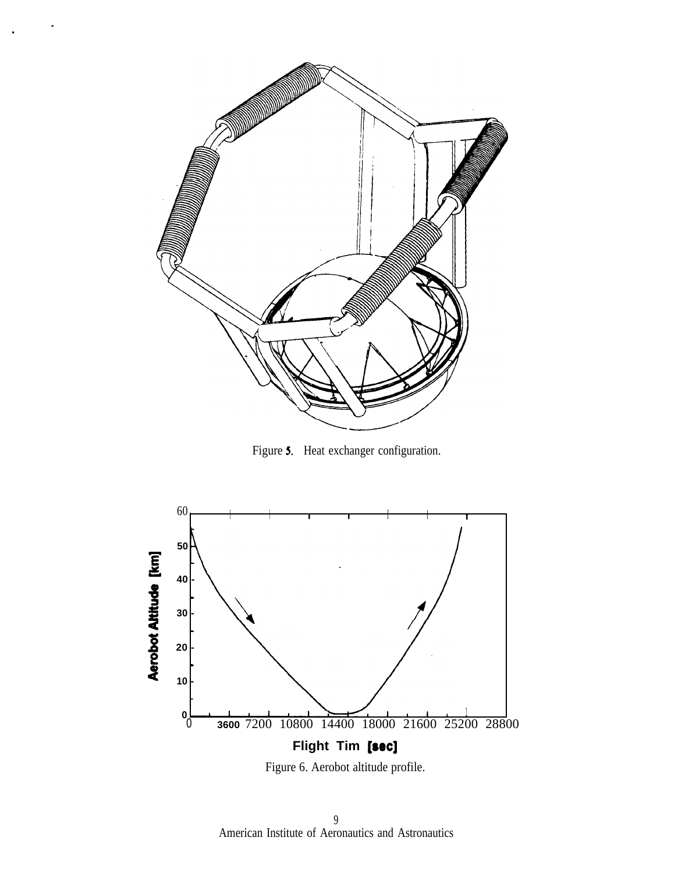

Figure 5. Heat exchanger configuration.



9 American Institute of Aeronautics and Astronautics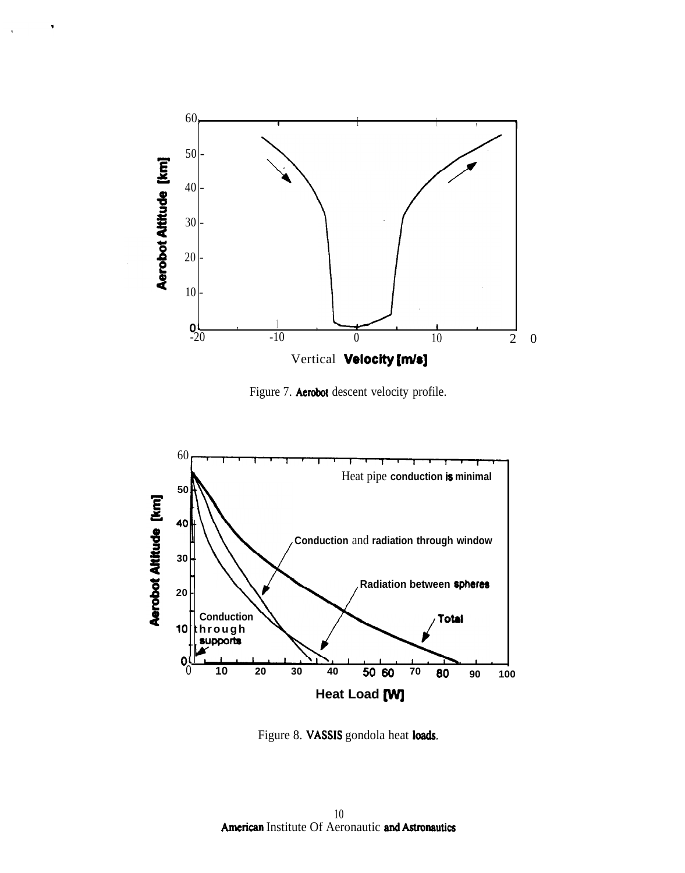

Figure 7. Aerobot descent velocity profile.



Figure 8. VASSIS gondola heat loads.